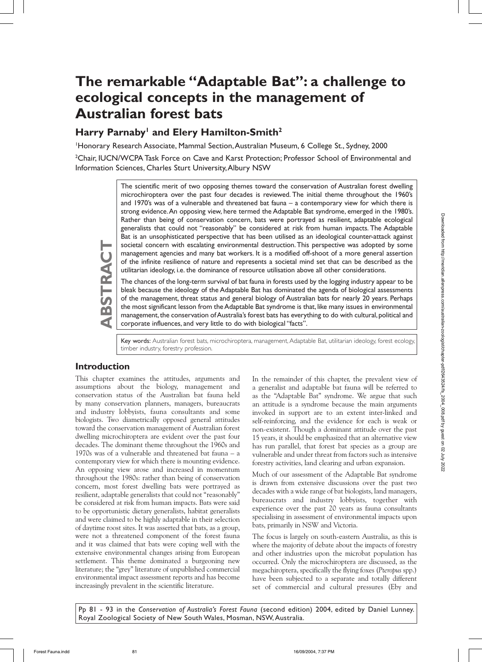# **The remarkable "Adaptable Bat": a challenge to ecological concepts in the management of Australian forest bats**

# Harry Parnaby<sup>1</sup> and Elery Hamilton-Smith<sup>2</sup>

1 Honorary Research Associate, Mammal Section, Australian Museum, 6 College St., Sydney, 2000

<sup>2</sup>Chair, IUCN/WCPA Task Force on Cave and Karst Protection; Professor School of Environmental and Information Sciences, Charles Sturt University, Albury NSW

> The scientific merit of two opposing themes toward the conservation of Australian forest dwelling microchiroptera over the past four decades is reviewed. The initial theme throughout the 1960's and 1970's was of a vulnerable and threatened bat fauna – a contemporary view for which there is strong evidence. An opposing view, here termed the Adaptable Bat syndrome, emerged in the 1980's. Rather than being of conservation concern, bats were portrayed as resilient, adaptable ecological generalists that could not "reasonably" be considered at risk from human impacts. The Adaptable Bat is an unsophisticated perspective that has been utilised as an ideological counter-attack against societal concern with escalating environmental destruction. This perspective was adopted by some management agencies and many bat workers. It is a modified off-shoot of a more general assertion of the infinite resilience of nature and represents a societal mind set that can be described as the utilitarian ideology, i.e. the dominance of resource utilisation above all other considerations.

> The chances of the long-term survival of bat fauna in forests used by the logging industry appear to be bleak because the ideology of the Adaptable Bat has dominated the agenda of biological assessments of the management, threat status and general biology of Australian bats for nearly 20 years. Perhaps the most significant lesson from the Adaptable Bat syndrome is that, like many issues in environmental management, the conservation of Australia's forest bats has everything to do with cultural, political and corporate influences, and very little to do with biological "facts".

> Key words: Australian forest bats, microchiroptera, management, Adaptable Bat, utilitarian ideology, forest ecology, timber industry, forestry profession.

## **Introduction**

**ABSTRACT**

BSTRACT

This chapter examines the attitudes, arguments and assumptions about the biology, management and conservation status of the Australian bat fauna held by many conservation planners, managers, bureaucrats and industry lobbyists, fauna consultants and some biologists. Two diametrically opposed general attitudes toward the conservation management of Australian forest dwelling microchiroptera are evident over the past four decades. The dominant theme throughout the 1960s and 1970s was of a vulnerable and threatened bat fauna – a contemporary view for which there is mounting evidence. An opposing view arose and increased in momentum throughout the 1980s: rather than being of conservation concern, most forest dwelling bats were portrayed as resilient, adaptable generalists that could not "reasonably" be considered at risk from human impacts. Bats were said to be opportunistic dietary generalists, habitat generalists and were claimed to be highly adaptable in their selection of daytime roost sites. It was asserted that bats, as a group, were not a threatened component of the forest fauna and it was claimed that bats were coping well with the extensive environmental changes arising from European settlement. This theme dominated a burgeoning new literature; the "grey" literature of unpublished commercial environmental impact assessment reports and has become increasingly prevalent in the scientific literature.

In the remainder of this chapter, the prevalent view of a generalist and adaptable bat fauna will be referred to as the "Adaptable Bat" syndrome. We argue that such an attitude is a syndrome because the main arguments invoked in support are to an extent inter-linked and self-reinforcing, and the evidence for each is weak or non-existent. Though a dominant attitude over the past 15 years, it should be emphasized that an alternative view has run parallel, that forest bat species as a group are vulnerable and under threat from factors such as intensive forestry activities, land clearing and urban expansion.

Much of our assessment of the Adaptable Bat syndrome is drawn from extensive discussions over the past two decades with a wide range of bat biologists, land managers, bureaucrats and industry lobbyists, together with experience over the past 20 years as fauna consultants specialising in assessment of environmental impacts upon bats, primarily in NSW and Victoria.

The focus is largely on south-eastern Australia, as this is where the majority of debate about the impacts of forestry and other industries upon the microbat population has occurred. Only the microchiroptera are discussed, as the megachiroptera, specifically the flying foxes (*Pteropus* spp.) have been subjected to a separate and totally different set of commercial and cultural pressures (Eby and

Pp 81 - 93 in the *Conservation of Australia's Forest Fauna* (second edition) 2004, edited by Daniel Lunney. Royal Zoological Society of New South Wales, Mosman, NSW, Australia.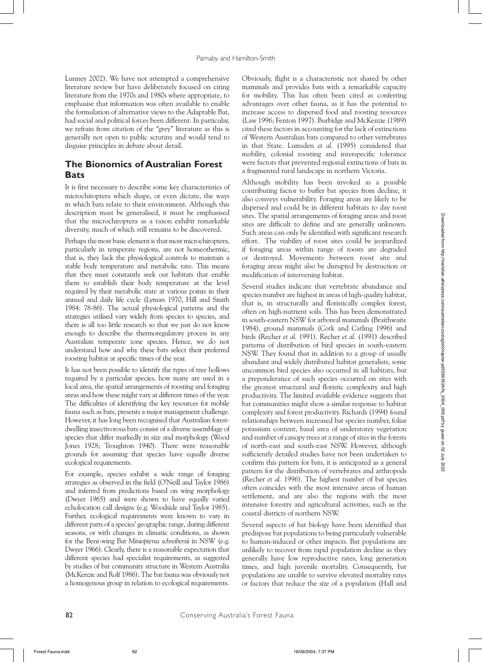Lunney 2002). We have not attempted a comprehensive literature review but have deliberately focused on citing literature from the 1970s and 1980s where appropriate, to emphasise that information was often available to enable the formulation of alternative views to the Adaptable Bat, had social and political forces been different. In particular, we refrain from citation of the "grey" literature as this is generally not open to public scrutiny and would tend to disguise principles in debate about detail.

## **The Bionomics of Australian Forest Bats**

It is first necessary to describe some key characteristics of microchiroptera which shape, or even dictate, the ways in which bats relate to their environment. Although this description must be generalised, it must be emphasised that the microchiroptera as a taxon exhibit remarkable diversity, much of which still remains to be discovered.

Perhaps the most basic element is that most microchiroptera, particularly in temperate regions, are not homeothermic, that is, they lack the physiological controls to maintain a stable body temperature and metabolic rate. This means that they must constantly seek out habitats that enable them to establish their body temperature at the level required by their metabolic state at various points in their annual and daily life cycle (Lyman 1970, Hill and Smith 1984: 78-86). The actual physiological patterns and the strategies utilised vary widely from species to species, and there is all too little research so that we just do not know enough to describe the thermoregulatory process in any Australian temperate zone species. Hence, we do not understand how and why these bats select their preferred roosting habitat at specific times of the year.

It has not been possible to identify the types of tree hollows required by a particular species, how many are used in a local area, the spatial arrangements of roosting and foraging areas and how these might vary at different times of the year. The difficulties of identifying the key resources for mobile fauna such as bats, presents a major management challenge. However, it has long been recognised that Australian forestdwelling insectivorous bats consist of a diverse assemblage of species that differ markedly in size and morphology (Wood Jones 1928; Troughton 1940). There were reasonable grounds for assuming that species have equally diverse ecological requirements.

For example, species exhibit a wide range of foraging strategies as observed in the field (O'Neill and Taylor 1986) and inferred from predictions based on wing morphology (Dwyer 1965) and were shown to have equally varied echolocation call designs (e.g. Woodside and Taylor 1985). Further, ecological requirements were known to vary in different parts of a species' geographic range, during different seasons, or with changes in climatic conditions, as shown for the Bent-wing Bat *Miniopterus schreibersii* in NSW (e.g. Dwyer 1966). Clearly, there is a reasonable expectation that different species had specialist requirements, as suggested by studies of bat community structure in Western Australia (McKenzie and Rolf 1986). The bat fauna was obviously not a homogenous group in relation to ecological requirements.

Obviously, flight is a characteristic not shared by other mammals and provides bats with a remarkable capacity for mobility. This has often been cited as conferring advantages over other fauna, as it has the potential to increase access to dispersed food and roosting resources (Law 1996; Fenton 1997). Burbidge and McKenzie (1989) cited these factors in accounting for the lack of extinctions of Western Australian bats compared to other vertebrates in that State. Lumsden *et al.* (1995) considered that mobility, colonial roosting and interspecific tolerance were factors that prevented regional extinctions of bats in a fragmented rural landscape in northern Victoria.

Although mobility has been invoked as a possible contributing factor to buffer bat species from decline, it also conveys vulnerability. Foraging areas are likely to be dispersed and could be in different habitats to day roost sites. The spatial arrangements of foraging areas and roost sites are difficult to define and are generally unknown. Such areas can only be identified with significant research effort. The viability of roost sites could be jeopardized if foraging areas within range of roosts are degraded or destroyed. Movements between roost site and foraging areas might also be disrupted by destruction or modification of intervening habitat.

Several studies indicate that vertebrate abundance and species number are highest in areas of high-quality habitat, that is, in structurally and floristically complex forest, often on high-nutrient soils. This has been demonstrated in south-eastern NSW for arboreal mammals (Braithwaite 1984), ground mammals (Cork and Catling 1996) and birds (Recher *et al.* 1991). Recher *et al.* (1991) described patterns of distribution of bird species in south-eastern NSW. They found that in addition to a group of usually abundant and widely distributed habitat generalists, some uncommon bird species also occurred in all habitats, but a preponderance of such species occurred on sites with the greatest structural and floristic complexity and high productivity. The limited available evidence suggests that bat communities might show a similar response to habitat complexity and forest productivity. Richards (1994) found relationships between increased bat species number, foliar potassium content, basal area of understorey vegetation and number of canopy trees at a range of sites in the forests of north-east and south-east NSW. However, although sufficiently detailed studies have not been undertaken to confirm this pattern for bats, it is anticipated as a general pattern for the distribution of vertebrates and arthropods (Recher *et al.* 1996). The highest number of bat species often coincides with the most intensive areas of human settlement, and are also the regions with the most intensive forestry and agricultural activities, such as the coastal districts of northern NSW.

Several aspects of bat biology have been identified that predispose bat populations to being particularly vulnerable to human-induced or other impacts. Bat populations are unlikely to recover from rapid population decline as they generally have low reproductive rates, long generation times, and high juvenile mortality. Consequently, bat populations are unable to survive elevated mortality rates or factors that reduce the size of a population (Hall and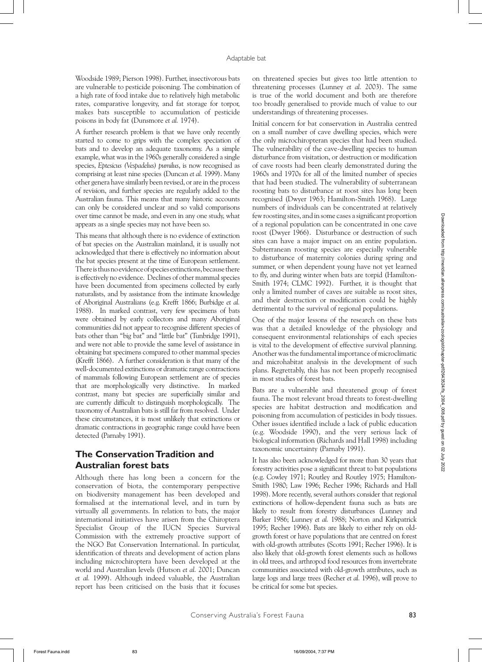Woodside 1989; Pierson 1998). Further, insectivorous bats are vulnerable to pesticide poisoning. The combination of a high rate of food intake due to relatively high metabolic rates, comparative longevity, and fat storage for torpor, makes bats susceptible to accumulation of pesticide poisons in body fat (Dunsmore *et al.* 1974).

A further research problem is that we have only recently started to come to grips with the complex speciation of bats and to develop an adequate taxonomy. As a simple example, what was in the 1960s generally considered a single species, *Eptesicus (Vespadelus) pumilus*, is now recognised as comprising at least nine species (Duncan *et al.* 1999). Many other genera have similarly been revised, or are in the process of revision, and further species are regularly added to the Australian fauna. This means that many historic accounts can only be considered unclear and so valid comparisons over time cannot be made, and even in any one study, what appears as a single species may not have been so.

This means that although there is no evidence of extinction of bat species on the Australian mainland, it is usually not acknowledged that there is effectively no information about the bat species present at the time of European settlement. There is thus no evidence of species extinctions, because there is effectively no evidence. Declines of other mammal species have been documented from specimens collected by early naturalists, and by assistance from the intimate knowledge of Aboriginal Australians (e.g. Krefft 1866; Burbidge *et al.* 1988). In marked contrast, very few specimens of bats were obtained by early collectors and many Aboriginal communities did not appear to recognise different species of bats other than "big bat" and "little bat" (Tunbridge 1991), and were not able to provide the same level of assistance in obtaining bat specimens compared to other mammal species (Krefft 1866). A further consideration is that many of the well-documented extinctions or dramatic range contractions of mammals following European settlement are of species that are morphologically very distinctive. In marked contrast, many bat species are superficially similar and are currently difficult to distinguish morphologically. The taxonomy of Australian bats is still far from resolved. Under these circumstances, it is most unlikely that extinctions or dramatic contractions in geographic range could have been detected (Parnaby 1991).

## **The Conservation Tradition and Australian forest bats**

Although there has long been a concern for the conservation of biota, the contemporary perspective on biodiversity management has been developed and formalised at the international level, and in turn by virtually all governments. In relation to bats, the major international initiatives have arisen from the Chiroptera Specialist Group of the IUCN Species Survival Commission with the extremely proactive support of the NGO Bat Conservation International. In particular, identification of threats and development of action plans including microchiroptera have been developed at the world and Australian levels (Hutson *et al.* 2001; Duncan *et al.* 1999). Although indeed valuable, the Australian report has been criticised on the basis that it focuses

on threatened species but gives too little attention to threatening processes (Lunney *et al.* 2003). The same is true of the world document and both are therefore too broadly generalised to provide much of value to our understandings of threatening processes.

Initial concern for bat conservation in Australia centred on a small number of cave dwelling species, which were the only microchiropteran species that had been studied. The vulnerability of the cave-dwelling species to human disturbance from visitation, or destruction or modification of cave roosts had been clearly demonstrated during the 1960s and 1970s for all of the limited number of species that had been studied. The vulnerability of subterranean roosting bats to disturbance at roost sites has long been recognised (Dwyer 1963; Hamilton-Smith 1968). Large numbers of individuals can be concentrated at relatively few roosting sites, and in some cases a significant proportion of a regional population can be concentrated in one cave roost (Dwyer 1966). Disturbance or destruction of such sites can have a major impact on an entire population. Subterranean roosting species are especially vulnerable to disturbance of maternity colonies during spring and summer, or when dependent young have not yet learned to fly, and during winter when bats are torpid (Hamilton-Smith 1974; CLMC 1992). Further, it is thought that only a limited number of caves are suitable as roost sites, and their destruction or modification could be highly detrimental to the survival of regional populations.

One of the major lessons of the research on these bats was that a detailed knowledge of the physiology and consequent environmental relationships of each species is vital to the development of effective survival planning. Another was the fundamental importance of microclimatic and microhabitat analysis in the development of such plans. Regrettably, this has not been properly recognised in most studies of forest bats.

Bats are a vulnerable and threatened group of forest fauna. The most relevant broad threats to forest-dwelling species are habitat destruction and modification and poisoning from accumulation of pesticides in body tissues. Other issues identified include a lack of public education (e.g. Woodside 1990), and the very serious lack of biological information (Richards and Hall 1998) including taxonomic uncertainty (Parnaby 1991).

It has also been acknowledged for more than 30 years that forestry activities pose a significant threat to bat populations (e.g. Cowley 1971; Routley and Routley 1975; Hamilton-Smith 1980; Law 1996; Recher 1996; Richards and Hall 1998). More recently, several authors consider that regional extinctions of hollow-dependent fauna such as bats are likely to result from forestry disturbances (Lunney and Barker 1986; Lunney *et al.* 1988; Norton and Kirkpatrick 1995; Recher 1996). Bats are likely to either rely on oldgrowth forest or have populations that are centred on forest with old-growth attributes (Scotts 1991; Recher 1996). It is also likely that old-growth forest elements such as hollows in old trees, and arthropod food resources from invertebrate communities associated with old-growth attributes, such as large logs and large trees (Recher *et al.* 1996), will prove to be critical for some bat species.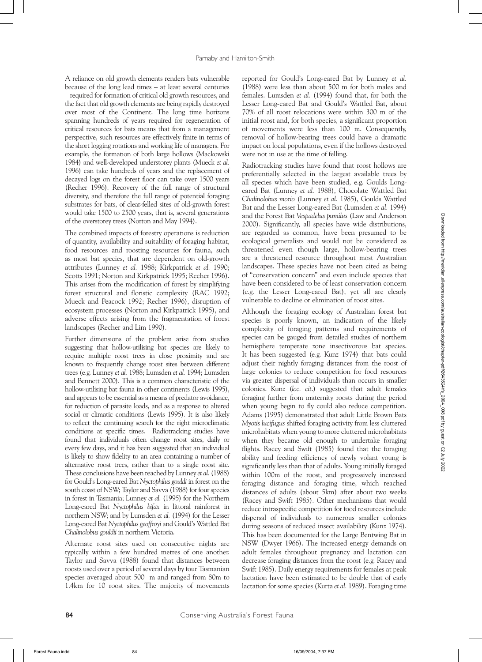A reliance on old growth elements renders bats vulnerable because of the long lead times – at least several centuries – required for formation of critical old growth resources, and the fact that old growth elements are being rapidly destroyed over most of the Continent. The long time horizons spanning hundreds of years required for regeneration of critical resources for bats means that from a management perspective, such resources are effectively finite in terms of the short logging rotations and working life of managers. For example, the formation of both large hollows (Mackowski 1984) and well-developed understorey plants (Mueck *et al.* 1996) can take hundreds of years and the replacement of decayed logs on the forest floor can take over 1500 years (Recher 1996). Recovery of the full range of structural diversity, and therefore the full range of potential foraging substrates for bats, of clear-felled sites of old-growth forest would take 1500 to 2500 years, that is, several generations of the overstorey trees (Norton and May 1994).

The combined impacts of forestry operations is reduction of quantity, availability and suitability of foraging habitat, food resources and roosting resources for fauna, such as most bat species, that are dependent on old-growth attributes (Lunney *et al.* 1988; Kirkpatrick *et al.* 1990; Scotts 1991; Norton and Kirkpatrick 1995; Recher 1996). This arises from the modification of forest by simplifying forest structural and floristic complexity (RAC 1992; Mueck and Peacock 1992; Recher 1996), disruption of ecosystem processes (Norton and Kirkpatrick 1995), and adverse effects arising from the fragmentation of forest landscapes (Recher and Lim 1990).

Further dimensions of the problem arise from studies suggesting that hollow-utilising bat species are likely to require multiple roost trees in close proximity and are known to frequently change roost sites between different trees (e.g. Lunney *et al.* 1988; Lumsden *et al.* 1994; Lumsden and Bennett 2000). This is a common characteristic of the hollow-utilising bat fauna in other continents (Lewis 1995), and appears to be essential as a means of predator avoidance, for reduction of parasite loads, and as a response to altered social or climatic conditions (Lewis 1995). It is also likely to reflect the continuing search for the right microclimatic conditions at specific times. Radiotracking studies have found that individuals often change roost sites, daily or every few days, and it has been suggested that an individual is likely to show fidelity to an area containing a number of alternative roost trees, rather than to a single roost site. These conclusions have been reached by Lunney *et al.* (1988) for Gould's Long-eared Bat *Nyctophilus gouldi* in forest on the south coast of NSW; Taylor and Savva (1988) for four species in forest in Tasmania; Lunney *et al.* (1995) for the Northern Long-eared Bat *Nyctophilus bifax* in littoral rainforest in northern NSW; and by Lumsden *et al.* (1994) for the Lesser Long-eared Bat *Nyctophilus geoffroyi* and Gould's Wattled Bat *Chalinolobus gouldii* in northern Victoria.

Alternate roost sites used on consecutive nights are typically within a few hundred metres of one another. Taylor and Savva (1988) found that distances between roosts used over a period of several days by four Tasmanian species averaged about 500 m and ranged from 80m to 1.4km for 10 roost sites. The majority of movements reported for Gould's Long-eared Bat by Lunney *et al.* (1988) were less than about 500 m for both males and females. Lumsden *et al.* (1994) found that, for both the Lesser Long-eared Bat and Gould's Wattled Bat, about 70% of all roost relocations were within 300 m of the initial roost and, for both species, a significant proportion of movements were less than 100 m. Consequently, removal of hollow-bearing trees could have a dramatic impact on local populations, even if the hollows destroyed were not in use at the time of felling.

Radiotracking studies have found that roost hollows are preferentially selected in the largest available trees by all species which have been studied, e.g. Goulds Longeared Bat (Lunney *et al.* 1988), Chocolate Wattled Bat *Chalinolobus morio* (Lunney *et al.* 1985), Goulds Wattled Bat and the Lesser Long-eared Bat (Lumsden *et al.* 1994) and the Forest Bat *Vespadelus pumilus* (Law and Anderson 2000). Significantly, all species have wide distributions, are regarded as common, have been presumed to be ecological generalists and would not be considered as threatened even though large, hollow-bearing trees are a threatened resource throughout most Australian landscapes. These species have not been cited as being of "conservation concern" and even include species that have been considered to be of least conservation concern (e.g. the Lesser Long-eared Bat), yet all are clearly vulnerable to decline or elimination of roost sites.

Although the foraging ecology of Australian forest bat species is poorly known, an indication of the likely complexity of foraging patterns and requirements of species can be gauged from detailed studies of northern hemisphere temperate zone insectivorous bat species. It has been suggested (e.g. Kunz 1974) that bats could adjust their nightly foraging distances from the roost of large colonies to reduce competition for food resources via greater dispersal of individuals than occurs in smaller colonies. Kunz (*loc. cit*.) suggested that adult females foraging further from maternity roosts during the period when young begin to fly could also reduce competition. Adams (1995) demonstrated that adult Little Brown Bats *Myotis lucifugus* shifted foraging activity from less cluttered microhabitats when young to more cluttered microhabitats when they became old enough to undertake foraging flights. Racey and Swift (1985) found that the foraging ability and feeding efficiency of newly volant young is significantly less than that of adults. Young initially foraged within 100m of the roost, and progressively increased foraging distance and foraging time, which reached distances of adults (about 5km) after about two weeks (Racey and Swift 1985). Other mechanisms that would reduce intraspecific competition for food resources include dispersal of individuals to numerous smaller colonies during seasons of reduced insect availability (Kunz 1974). This has been documented for the Large Bentwing Bat in NSW (Dwyer 1966). The increased energy demands on adult females throughout pregnancy and lactation can decrease foraging distances from the roost (e.g. Racey and Swift 1985). Daily energy requirements for females at peak lactation have been estimated to be double that of early lactation for some species (Kurta *et al.* 1989). Foraging time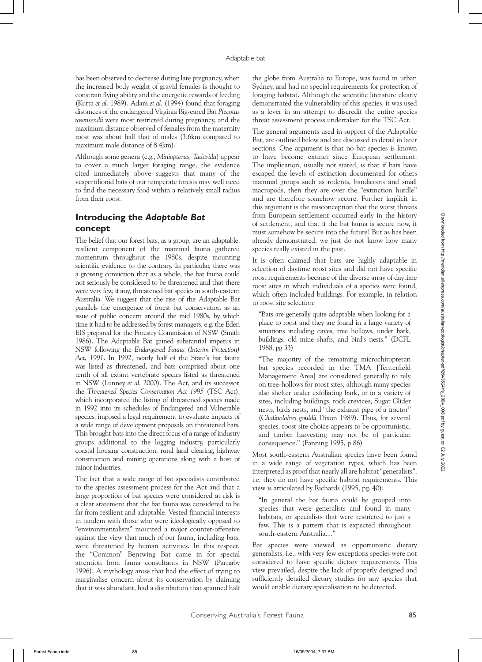has been observed to decrease during late pregnancy, when the increased body weight of gravid females is thought to constrain flying ability and the energetic rewards of feeding (Kurta *et al.* 1989). Adam *et al.* (1994) found that foraging distances of the endangered Virginia Big-eared Bat *Plecotus townsendii* were most restricted during pregnancy, and the maximum distance observed of females from the maternity roost was about half that of males (3.6km compared to maximum male distance of 8.4km).

Although some genera (e.g., *Miniopterus, Tadarida*) appear to cover a much larger foraging range, the evidence cited immediately above suggests that many of the vespertilionid bats of our temperate forests may well need to find the necessary food within a relatively small radius from their roost.

## **Introducing the** *Adaptable Bat*  **concept**

The belief that our forest bats, as a group, are an adaptable, resilient component of the mammal fauna gathered momentum throughout the 1980s, despite mounting scientific evidence to the contrary. In particular, there was a growing conviction that as a whole, the bat fauna could not seriously be considered to be threatened and that there were very few, if any, threatened bat species in south-eastern Australia. We suggest that the rise of the Adaptable Bat parallels the emergence of forest bat conservation as an issue of public concern around the mid 1980s, by which time it had to be addressed by forest managers, e.g. the Eden EIS prepared for the Forestry Commission of NSW (Smith 1986). The Adaptable Bat gained substantial impetus in NSW following the *Endangered Fauna (Interim Protection) Act*, *1991*. In 1992, nearly half of the State's bat fauna was listed as threatened, and bats comprised about one tenth of all extant vertebrate species listed as threatened in NSW (Lunney *et al.* 2000). The Act, and its successor, the *Threatened Species Conservation Act 1995* (TSC Act), which incorporated the listing of threatened species made in 1992 into its schedules of Endangered and Vulnerable species, imposed a legal requirement to evaluate impacts of a wide range of development proposals on threatened bats. This brought bats into the direct focus of a range of industry groups additional to the logging industry, particularly coastal housing construction, rural land clearing, highway construction and mining operations along with a host of minor industries.

The fact that a wide range of bat specialists contributed to the species assessment process for the Act and that a large proportion of bat species were considered at risk is a clear statement that the bat fauna was considered to be far from resilient and adaptable. Vested financial interests in tandem with those who were ideologically opposed to "environmentalism" mounted a major counter-offensive against the view that much of our fauna, including bats, were threatened by human activities. In this respect, the "Common" Bentwing Bat came in for special attention from fauna consultants in NSW (Parnaby 1996). A mythology arose that had the effect of trying to marginalise concern about its conservation by claiming that it was abundant, had a distribution that spanned half

the globe from Australia to Europe, was found in urban Sydney, and had no special requirements for protection of foraging habitat. Although the scientific literature clearly demonstrated the vulnerability of this species, it was used as a lever in an attempt to discredit the entire species threat assessment process undertaken for the TSC Act.

The general arguments used in support of the Adaptable Bat, are outlined below and are discussed in detail in later sections. One argument is that no bat species is known to have become extinct since European settlement. The implication, usually not stated, is that if bats have escaped the levels of extinction documented for others mammal groups such as rodents, bandicoots and small macropods, then they are over the "extinction hurdle" and are therefore somehow secure. Further implicit in this argument is the misconception that the worst threats from European settlement occurred early in the history of settlement, and that if the bat fauna is secure now, it must somehow be secure into the future! But as has been already demonstrated, we just do not know how many species really existed in the past.

It is often claimed that bats are highly adaptable in selection of daytime roost sites and did not have specific roost requirements because of the diverse array of daytime roost sites in which individuals of a species were found, which often included buildings. For example, in relation to roost site selection:

"Bats are generally quite adaptable when looking for a place to roost and they are found in a large variety of situations including caves, tree hollows, under bark, buildings, old mine shafts, and bird's nests." (DCFL 1988, pg 33)

"The majority of the remaining microchiropteran bat species recorded in the TMA [Tenterfield Management Area] are considered generally to rely on tree-hollows for roost sites, although many species also shelter under exfoliating bark, or in a variety of sites, including buildings, rock crevices, Sugar Glider nests, birds nests, and "the exhaust pipe of a tractor" (*Chalinolobus gouldii* Dixon 1989). Thus, for several species, roost site choice appears to be opportunistic, and timber harvesting may not be of particular consequence." (Fanning 1995, p 86)

Most south-eastern Australian species have been found in a wide range of vegetation types, which has been interpreted as proof that nearly all are habitat "generalists", i.e. they do not have specific habitat requirements. This view is articulated by Richards (1995, pg. 40):

"In general the bat fauna could be grouped into species that were generalists and found in many habitats, or specialists that were restricted to just a few. This is a pattern that is expected throughout south-eastern Australia...."

Bat species were viewed as opportunistic dietary generalists, i.e., with very few exceptions species were not considered to have specific dietary requirements. This view prevailed, despite the lack of properly designed and sufficiently detailed dietary studies for any species that would enable dietary specialisation to be detected.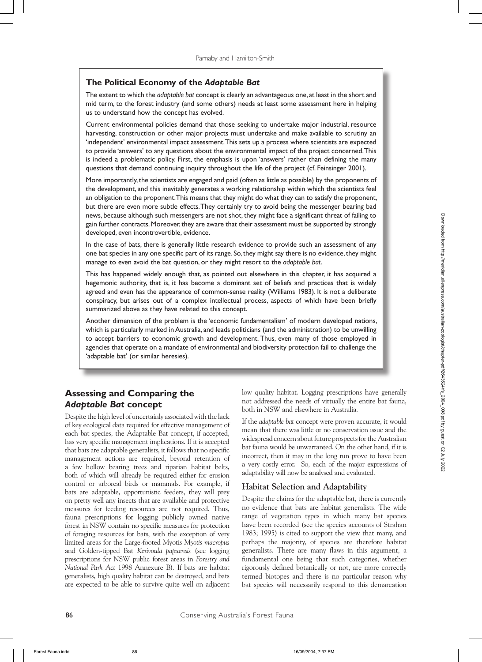## **The Political Economy of the** *Adaptable Bat*

The extent to which the *adaptable bat* concept is clearly an advantageous one, at least in the short and mid term, to the forest industry (and some others) needs at least some assessment here in helping us to understand how the concept has evolved.

Current environmental policies demand that those seeking to undertake major industrial, resource harvesting, construction or other major projects must undertake and make available to scrutiny an 'independent' environmental impact assessment. This sets up a process where scientists are expected to provide 'answers' to any questions about the environmental impact of the project concerned. This is indeed a problematic policy. First, the emphasis is upon 'answers' rather than defining the many questions that demand continuing inquiry throughout the life of the project (cf. Feinsinger 2001).

More importantly, the scientists are engaged and paid (often as little as possible) by the proponents of the development, and this inevitably generates a working relationship within which the scientists feel an obligation to the proponent. This means that they might do what they can to satisfy the proponent, but there are even more subtle effects. They certainly try to avoid being the messenger bearing bad news, because although such messengers are not shot, they might face a significant threat of failing to gain further contracts. Moreover, they are aware that their assessment must be supported by strongly developed, even incontrovertible, evidence.

In the case of bats, there is generally little research evidence to provide such an assessment of any one bat species in any one specific part of its range. So, they might say there is no evidence, they might manage to even avoid the bat question, or they might resort to the *adaptable bat*.

This has happened widely enough that, as pointed out elsewhere in this chapter, it has acquired a hegemonic authority, that is, it has become a dominant set of beliefs and practices that is widely agreed and even has the appearance of common-sense reality (Williams 1983). It is not a deliberate conspiracy, but arises out of a complex intellectual process, aspects of which have been briefly summarized above as they have related to this concept.

Another dimension of the problem is the 'economic fundamentalism' of modern developed nations, which is particularly marked in Australia, and leads politicians (and the administration) to be unwilling to accept barriers to economic growth and development. Thus, even many of those employed in agencies that operate on a mandate of environmental and biodiversity protection fail to challenge the 'adaptable bat' (or similar heresies).

# **Assessing and Comparing the**  *Adaptable Bat* **concept**

Despite the high level of uncertainly associated with the lack of key ecological data required for effective management of each bat species, the Adaptable Bat concept, if accepted, has very specific management implications. If it is accepted that bats are adaptable generalists, it follows that no specific management actions are required, beyond retention of a few hollow bearing trees and riparian habitat belts, both of which will already be required either for erosion control or arboreal birds or mammals. For example, if bats are adaptable, opportunistic feeders, they will prey on pretty well any insects that are available and protective measures for feeding resources are not required. Thus, fauna prescriptions for logging publicly owned native forest in NSW contain no specific measures for protection of foraging resources for bats, with the exception of very limited areas for the Large-footed Myotis *Myotis macropus*  and Golden-tipped Bat *Kerivoula papuensis* (see logging prescriptions for NSW public forest areas in *Forestry and National Park Act* 1998 Annexure B). If bats are habitat generalists, high quality habitat can be destroyed, and bats are expected to be able to survive quite well on adjacent

low quality habitat. Logging prescriptions have generally not addressed the needs of virtually the entire bat fauna, both in NSW and elsewhere in Australia.

If the *adaptable bat* concept were proven accurate, it would mean that there was little or no conservation issue and the widespread concern about future prospects for the Australian bat fauna would be unwarranted. On the other hand, if it is incorrect, then it may in the long run prove to have been a very costly error. So, each of the major expressions of adaptability will now be analysed and evaluated.

#### **Habitat Selection and Adaptability**

Despite the claims for the adaptable bat, there is currently no evidence that bats are habitat generalists. The wide range of vegetation types in which many bat species have been recorded (see the species accounts of Strahan 1983; 1995) is cited to support the view that many, and perhaps the majority, of species are therefore habitat generalists. There are many flaws in this argument, a fundamental one being that such categories, whether rigorously defined botanically or not, are more correctly termed biotopes and there is no particular reason why bat species will necessarily respond to this demarcation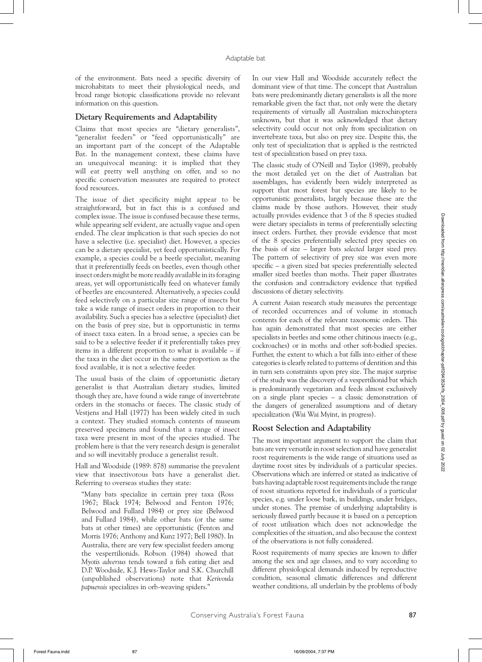of the environment. Bats need a specific diversity of microhabitats to meet their physiological needs, and broad range biotopic classifications provide no relevant information on this question.

#### **Dietary Requirements and Adaptability**

Claims that most species are "dietary generalists", "generalist feeders" or "feed opportunistically" are an important part of the concept of the Adaptable Bat. In the management context, these claims have an unequivocal meaning: it is implied that they will eat pretty well anything on offer, and so no specific conservation measures are required to protect food resources.

The issue of diet specificity might appear to be straightforward, but in fact this is a confused and complex issue. The issue is confused because these terms, while appearing self evident, are actually vague and open ended. The clear implication is that such species do not have a selective (i.e. specialist) diet. However, a species can be a dietary specialist, yet feed opportunistically. For example, a species could be a beetle specialist, meaning that it preferentially feeds on beetles, even though other insect orders might be more readily available in its foraging areas, yet will opportunistically feed on whatever family of beetles are encountered. Alternatively, a species could feed selectively on a particular size range of insects but take a wide range of insect orders in proportion to their availability. Such a species has a selective (specialist) diet on the basis of prey size, but is opportunistic in terms of insect taxa eaten. In a broad sense, a species can be said to be a selective feeder if it preferentially takes prey items in a different proportion to what is available – if the taxa in the diet occur in the same proportion as the food available, it is not a selective feeder.

The usual basis of the claim of opportunistic dietary generalist is that Australian dietary studies, limited though they are, have found a wide range of invertebrate orders in the stomachs or faeces. The classic study of Vestjens and Hall (1977) has been widely cited in such a context. They studied stomach contents of museum preserved specimens and found that a range of insect taxa were present in most of the species studied. The problem here is that the very research design is generalist and so will inevitably produce a generalist result.

Hall and Woodside (1989: 878) summarise the prevalent view that insectivorous bats have a generalist diet. Referring to overseas studies they state:

"Many bats specialize in certain prey taxa (Ross 1967; Black 1974; Belwood and Fenton 1976; Belwood and Fullard 1984) or prey size (Belwood and Fullard 1984), while other bats (or the same bats at other times) are opportunistic (Fenton and Morris 1976; Anthony and Kunz 1977; Bell 1980). In Australia, there are very few specialist feeders among the vespertilionids. Robson (1984) showed that *Myotis adversus* tends toward a fish eating diet and D.P. Woodside, K.J. Hews-Taylor and S.K. Churchill (unpublished observations) note that *Kerivoula papuensis* specializes in orb-weaving spiders."

In our view Hall and Woodside accurately reflect the dominant view of that time. The concept that Australian bats were predominantly dietary generalists is all the more remarkable given the fact that, not only were the dietary requirements of virtually all Australian microchiroptera unknown, but that it was acknowledged that dietary selectivity could occur not only from specialization on invertebrate taxa, but also on prey size. Despite this, the only test of specialization that is applied is the restricted test of specialization based on prey taxa.

The classic study of O'Neill and Taylor (1989), probably the most detailed yet on the diet of Australian bat assemblages, has evidently been widely interpreted as support that most forest bat species are likely to be opportunistic generalists, largely because these are the claims made by those authors. However, their study actually provides evidence that 3 of the 8 species studied were dietary specialists in terms of preferentially selecting insect orders. Further, they provide evidence that most of the 8 species preferentially selected prey species on the basis of size – larger bats *selected* larger sized prey. The pattern of selectivity of prey size was even more specific – a given sized bat species preferentially selected smaller sized beetles than moths. Their paper illustrates the confusion and contradictory evidence that typified discussions of dietary selectivity.

A current Asian research study measures the percentage of recorded occurrences and of volume in stomach contents for each of the relevant taxonomic orders. This has again demonstrated that most species are either specialists in beetles and some other chitinous insects (e.g., cockroaches) or in moths and other soft-bodied species. Further, the extent to which a bat falls into either of these categories is clearly related to patterns of dentition and this in turn sets constraints upon prey size. The major surprise of the study was the discovery of a vespertilionid bat which is predominantly vegetarian and feeds almost exclusively on a single plant species – a classic demonstration of the dangers of generalized assumptions and of dietary specialization (Wai Wai Myint, in progress).

## **Roost Selection and Adaptability**

The most important argument to support the claim that bats are very versatile in roost selection and have generalist roost requirements is the wide range of situations used as daytime roost sites by individuals of a particular species. Observations which are inferred or stated as indicative of bats having adaptable roost requirements include the range of roost situations reported for individuals of a particular species, e.g. under loose bark, in buildings, under bridges, under stones. The premise of underlying adaptability is seriously flawed partly because it is based on a perception of roost utilisation which does not acknowledge the complexities of the situation, and also because the context of the observations is not fully considered.

Roost requirements of many species are known to differ among the sex and age classes, and to vary according to different physiological demands induced by reproductive condition, seasonal climatic differences and different weather conditions, all underlain by the problems of body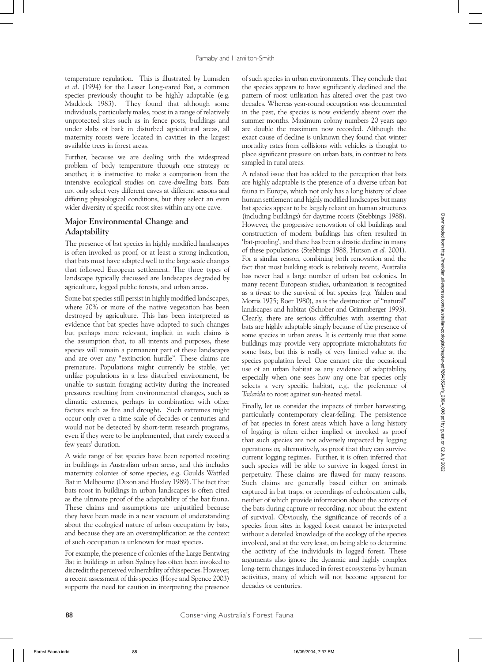temperature regulation. This is illustrated by Lumsden *et al*. (1994) for the Lesser Long-eared Bat, a common species previously thought to be highly adaptable (e.g. Maddock 1983). They found that although some individuals, particularly males, roost in a range of relatively unprotected sites such as in fence posts, buildings and under slabs of bark in disturbed agricultural areas, all maternity roosts were located in cavities in the largest available trees in forest areas.

Further, because we are dealing with the widespread problem of body temperature through one strategy or another, it is instructive to make a comparison from the intensive ecological studies on cave-dwelling bats. Bats not only select very different caves at different seasons and differing physiological conditions, but they select an even wider diversity of specific roost sites within any one cave.

#### **Major Environmental Change and Adaptability**

The presence of bat species in highly modified landscapes is often invoked as proof, or at least a strong indication, that bats must have adapted well to the large scale changes that followed European settlement. The three types of landscape typically discussed are landscapes degraded by agriculture, logged public forests, and urban areas.

Some bat species still persist in highly modified landscapes, where 70% or more of the native vegetation has been destroyed by agriculture. This has been interpreted as evidence that bat species have adapted to such changes but perhaps more relevant, implicit in such claims is the assumption that, to all intents and purposes, these species will remain a permanent part of these landscapes and are over any "extinction hurdle". These claims are premature. Populations might currently be stable, yet unlike populations in a less disturbed environment, be unable to sustain foraging activity during the increased pressures resulting from environmental changes, such as climatic extremes, perhaps in combination with other factors such as fire and drought. Such extremes might occur only over a time scale of decades or centuries and would not be detected by short-term research programs, even if they were to be implemented, that rarely exceed a few years' duration.

A wide range of bat species have been reported roosting in buildings in Australian urban areas, and this includes maternity colonies of some species, e.g. Goulds Wattled Bat in Melbourne (Dixon and Huxley 1989). The fact that bats roost in buildings in urban landscapes is often cited as the ultimate proof of the adaptability of the bat fauna. These claims and assumptions are unjustified because they have been made in a near vacuum of understanding about the ecological nature of urban occupation by bats, and because they are an oversimplification as the context of such occupation is unknown for most species.

For example, the presence of colonies of the Large Bentwing Bat in buildings in urban Sydney has often been invoked to discredit the perceived vulnerability of this species. However, a recent assessment of this species (Hoye and Spence 2003) supports the need for caution in interpreting the presence

of such species in urban environments. They conclude that the species appears to have significantly declined and the pattern of roost utilisation has altered over the past two decades. Whereas year-round occupation was documented in the past, the species is now evidently absent over the summer months. Maximum colony numbers 20 years ago are double the maximum now recorded. Although the exact cause of decline is unknown they found that winter mortality rates from collisions with vehicles is thought to place significant pressure on urban bats, in contrast to bats sampled in rural areas.

A related issue that has added to the perception that bats are highly adaptable is the presence of a diverse urban bat fauna in Europe, which not only has a long history of close human settlement and highly modified landscapes but many bat species appear to be largely reliant on human structures (including buildings) for daytime roosts (Stebbings 1988). However, the progressive renovation of old buildings and construction of modern buildings has often resulted in 'bat-proofing', and there has been a drastic decline in many of these populations (Stebbings 1988, Hutson *et al.* 2001). For a similar reason, combining both renovation and the fact that most building stock is relatively recent, Australia has never had a large number of urban bat colonies. In many recent European studies, urbanization is recognized as a *threat* to the survival of bat species (e.g. Yalden and Morris 1975; Roer 1980), as is the destruction of "natural" landscapes and habitat (Schober and Grimmberger 1993). Clearly, there are serious difficulties with asserting that bats are highly adaptable simply because of the presence of some species in urban areas. It is certainly true that some buildings may provide very appropriate microhabitats for some bats, but this is really of very limited value at the species population level. One cannot cite the occasional use of an urban habitat as any evidence of adaptability, especially when one sees how any one bat species only selects a very specific habitat, e.g., the preference of *Tadarida* to roost against sun-heated metal.

Finally, let us consider the impacts of timber harvesting, particularly contemporary clear-felling. The persistence of bat species in forest areas which have a long history of logging is often either implied or invoked as proof that such species are not adversely impacted by logging operations or, alternatively, as proof that they can survive current logging regimes. Further, it is often inferred that such species will be able to survive in logged forest in perpetuity. These claims are flawed for many reasons. Such claims are generally based either on animals captured in bat traps, or recordings of echolocation calls, neither of which provide information about the activity of the bats during capture or recording, nor about the extent of survival. Obviously, the significance of records of a species from sites in logged forest cannot be interpreted without a detailed knowledge of the ecology of the species involved, and at the very least, on being able to determine the activity of the individuals in logged forest. These arguments also ignore the dynamic and highly complex long-term changes induced in forest ecosystems by human activities, many of which will not become apparent for decades or centuries.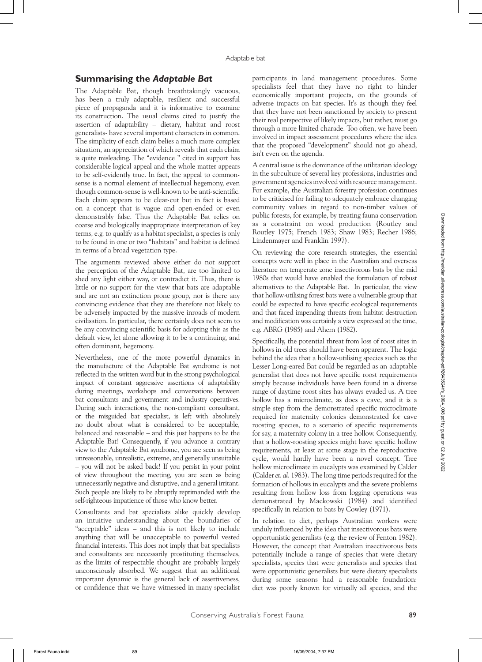#### **Summarising the** *Adaptable Bat*

The Adaptable Bat, though breathtakingly vacuous, has been a truly adaptable, resilient and successful piece of propaganda and it is informative to examine its construction. The usual claims cited to justify the assertion of adaptability – dietary, habitat and roost generalists- have several important characters in common. The simplicity of each claim belies a much more complex situation, an appreciation of which reveals that each claim is quite misleading. The "evidence " cited in support has considerable logical appeal and the whole matter appears to be self-evidently true. In fact, the appeal to commonsense is a normal element of intellectual hegemony, even though common-sense is well-known to be anti-scientific. Each claim appears to be clear-cut but in fact is based on a concept that is vague and open-ended or even demonstrably false. Thus the Adaptable Bat relies on coarse and biologically inappropriate interpretation of key terms, e.g. to qualify as a habitat specialist, a species is only to be found in one or two "habitats" and habitat is defined in terms of a broad vegetation type.

The arguments reviewed above either do not support the perception of the Adaptable Bat, are too limited to shed any light either way, or contradict it. Thus, there is little or no support for the view that bats are adaptable and are not an extinction prone group, nor is there any convincing evidence that they are therefore not likely to be adversely impacted by the massive inroads of modern civilisation. In particular, there certainly does not seem to be any convincing scientific basis for adopting this as the default view, let alone allowing it to be a continuing, and often dominant, hegemony.

Nevertheless, one of the more powerful dynamics in the manufacture of the Adaptable Bat syndrome is not reflected in the written word but in the strong psychological impact of constant aggressive assertions of adaptability during meetings, workshops and conversations between bat consultants and government and industry operatives. During such interactions, the non-compliant consultant, or the misguided bat specialist, is left with absolutely no doubt about what is considered to be acceptable, balanced and reasonable – and this just happens to be the Adaptable Bat! Consequently, if you advance a contrary view to the Adaptable Bat syndrome, you are seen as being unreasonable, unrealistic, extreme, and generally unsuitable – you will not be asked back! If you persist in your point of view throughout the meeting, you are seen as being unnecessarily negative and disruptive, and a general irritant. Such people are likely to be abruptly reprimanded with the self-righteous impatience of those who know better.

Consultants and bat specialists alike quickly develop an intuitive understanding about the boundaries of "acceptable" ideas – and this is not likely to include anything that will be unacceptable to powerful vested financial interests. This does not imply that bat specialists and consultants are necessarily prostituting themselves, as the limits of respectable thought are probably largely unconsciously absorbed. We suggest that an additional important dynamic is the general lack of assertiveness, or confidence that we have witnessed in many specialist

participants in land management procedures. Some specialists feel that they have no right to hinder economically important projects, on the grounds of adverse impacts on bat species. It's as though they feel that they have not been sanctioned by society to present their real perspective of likely impacts, but rather, must go through a more limited charade. Too often, we have been involved in impact assessment procedures where the idea that the proposed "development" should not go ahead, isn't even on the agenda.

A central issue is the dominance of the utilitarian ideology in the subculture of several key professions, industries and government agencies involved with resource management. For example, the Australian forestry profession continues to be criticised for failing to adequately embrace changing community values in regard to non-timber values of public forests, for example, by treating fauna conservation as a constraint on wood production (Routley and Routley 1975; French 1983; Shaw 1983; Recher 1986; Lindenmayer and Franklin 1997).

On reviewing the core research strategies, the essential concepts were well in place in the Australian and overseas literature on temperate zone insectivorous bats by the mid 1980s that would have enabled the formulation of robust alternatives to the Adaptable Bat. In particular, the view that hollow-utilising forest bats were a vulnerable group that could be expected to have specific ecological requirements and that faced impending threats from habitat destruction and modification was certainly a view expressed at the time, e.g. ABRG (1985) and Ahern (1982).

Specifically, the potential threat from loss of roost sites in hollows in old trees should have been apparent. The logic behind the idea that a hollow-utilising species such as the Lesser Long-eared Bat could be regarded as an adaptable generalist that does not have specific roost requirements simply because individuals have been found in a diverse range of daytime roost sites has always evaded us. A tree hollow has a microclimate, as does a cave, and it is a simple step from the demonstrated specific microclimate required for maternity colonies demonstrated for cave roosting species, to a scenario of specific requirements for say, a maternity colony in a tree hollow. Consequently, that a hollow-roosting species might have specific hollow requirements, at least at some stage in the reproductive cycle, would hardly have been a novel concept. Tree hollow microclimate in eucalypts was examined by Calder (Calder *et. al.* 1983). The long time periods required for the formation of hollows in eucalypts and the severe problems resulting from hollow loss from logging operations was demonstrated by Mackowski (1984) and identified specifically in relation to bats by Cowley (1971).

In relation to diet, perhaps Australian workers were unduly influenced by the idea that insectivorous bats were opportunistic generalists (e.g. the review of Fenton 1982). However, the concept that Australian insectivorous bats potentially include a range of species that were dietary specialists, species that were generalists and species that were opportunistic generalists but were dietary specialists during some seasons had a reasonable foundation: diet was poorly known for virtually all species, and the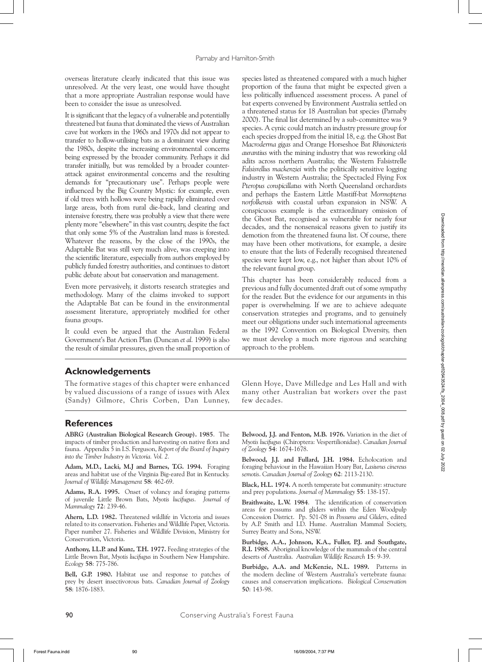overseas literature clearly indicated that this issue was unresolved. At the very least, one would have thought that a more appropriate Australian response would have been to consider the issue as unresolved.

It is significant that the legacy of a vulnerable and potentially threatened bat fauna that dominated the views of Australian cave bat workers in the 1960s and 1970s did not appear to transfer to hollow-utilising bats as a dominant view during the 1980s, despite the increasing environmental concerns being expressed by the broader community. Perhaps it did transfer initially, but was remolded by a broader counterattack against environmental concerns and the resulting demands for "precautionary use". Perhaps people were influenced by the Big Country Mystic: for example, even if old trees with hollows were being rapidly eliminated over large areas, both from rural die-back, land clearing and intensive forestry, there was probably a view that there were plenty more "elsewhere" in this vast country, despite the fact that only some 5% of the Australian land mass is forested. Whatever the reasons, by the close of the 1990s, the Adaptable Bat was still very much alive, was creeping into the scientific literature, especially from authors employed by publicly funded forestry authorities, and continues to distort public debate about bat conservation and management.

Even more pervasively, it distorts research strategies and methodology. Many of the claims invoked to support the Adaptable Bat can be found in the environmental assessment literature, appropriately modified for other fauna groups.

It could even be argued that the Australian Federal Government's Bat Action Plan (Duncan *et al.* 1999) is also the result of similar pressures, given the small proportion of species listed as threatened compared with a much higher proportion of the fauna that might be expected given a less politically influenced assessment process. A panel of bat experts convened by Environment Australia settled on a threatened status for 18 Australian bat species (Parnaby 2000). The final list determined by a sub-committee was 9 species. A cynic could match an industry pressure group for each species dropped from the initial 18, e.g. the Ghost Bat *Macroderma gigas* and Orange Horseshoe Bat *Rhinonicteris aurantius* with the mining industry that was reworking old adits across northern Australia; the Western Falsistrelle *Falsisrellus mackenziei* with the politically sensitive logging industry in Western Australia; the Spectacled Flying Fox *Pteropus conspicillatus* with North Queensland orchardists and perhaps the Eastern Little Mastiff-bat *Mormopterus norfolkensis* with coastal urban expansion in NSW. A conspicuous example is the extraordinary omission of the Ghost Bat, recognised as vulnerable for nearly four decades, and the nonsensical reasons given to justify its demotion from the threatened fauna list. Of course, there may have been other motivations, for example, a desire to ensure that the lists of Federally recognised threatened species were kept low, e.g., not higher than about 10% of the relevant faunal group.

This chapter has been considerably reduced from a previous and fully documented draft out of some sympathy for the reader. But the evidence for our arguments in this paper is overwhelming. If we are to achieve adequate conservation strategies and programs, and to genuinely meet our obligations under such international agreements as the 1992 Convention on Biological Diversity, then we must develop a much more rigorous and searching approach to the problem.

## **Acknowledgements**

The formative stages of this chapter were enhanced by valued discussions of a range of issues with Alex (Sandy) Gilmore, Chris Corben, Dan Lunney, Glenn Hoye, Dave Milledge and Les Hall and with many other Australian bat workers over the past few decades.

## **References**

**ABRG (Australian Biological Research Group). 1985**. The impacts of timber production and harvesting on native flora and fauna. Appendix 5 in I.S. Ferguson, *Report of the Board of Inquiry into the Timber Industry in Victoria. Vol. 2.*

**Adam, M.D., Lacki, M.J and Barnes, T.G. 1994.** Foraging areas and habitat use of the Virginia Big-eared Bat in Kentucky. *Journal of Wildlife Management* **58**: 462-69.

**Adams, R.A. 1995.** Onset of volancy and foraging patterns of juvenile Little Brown Bats, *Myotis lucifugus*. *Journal of Mammalogy* **72**: 239-46.

**Ahern, L.D. 1982.** Threatened wildlife in Victoria and issues related to its conservation. Fisheries and Wildlife Paper, Victoria. Paper number 27. Fisheries and Wildlife Division, Ministry for Conservation, Victoria.

**Anthony, I.L.P. and Kunz, T.H. 1977.** Feeding strategies of the Little Brown Bat, *Myotis lucifugus* in Southern New Hampshire. *Ecology* **58**: 775-786.

**Bell, G.P. 1980.** Habitat use and response to patches of prey by desert insectivorous bats. *Canadian Journal of Zoology* **58**: 1876-1883.

**Belwood, J.J. and Fenton, M.B. 1976.** Variation in the diet of *Myotis lucifugus* (Chiroptera: Vespertilionidae). *Canadian Journal of Zoology* **54**: 1674-1678.

**Belwood, J.J. and Fullard, J.H. 1984.** Echolocation and foraging behaviour in the Hawaiian Hoary Bat, *Lasiurus cinereus semotis*. *Canadian Journal of Zoology* **62**: 2113-2130.

**Black, H.L. 1974.** A north temperate bat community: structure and prey populations. *Journal of Mammalogy* **55**: 138-157.

**Braithwaite, L.W. 1984**. The identification of conservation areas for possums and gliders within the Eden Woodpulp Concession District. Pp. 501-08 in *Possums and Gliders*, edited by A.P. Smith and I.D. Hume. Australian Mammal Society, Surrey Beatty and Sons, NSW.

**Burbidge, A.A., Johnson, K.A., Fuller, P.J. and Southgate, R.I. 1988.** Aboriginal knowledge of the mammals of the central deserts of Australia. *Australian Wildlife Research* **15**: 9-39.

**Burbidge, A.A. and McKenzie, N.L. 1989.** Patterns in the modern decline of Western Australia's vertebrate fauna: causes and conservation implications. *Biological Conservation* **50**: 143-98.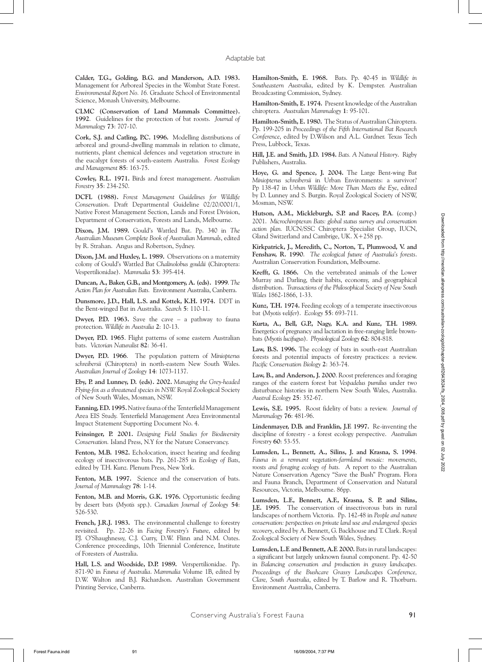**Calder, T.G., Golding, B.G. and Manderson, A.D. 1983.**  Management for Arboreal Species in the Wombat State Forest. *Environmental Report No. 16.* Graduate School of Environmental Science, Monash University, Melbourne.

**CLMC (Conservation of Land Mammals Committee). 1992**. Guidelines for the protection of bat roosts. *Journal of Mammalogy* **73**: 707-10.

**Cork, S.J. and Catling, P.C. 1996.** Modelling distributions of arboreal and ground-dwelling mammals in relation to climate, nutrients, plant chemical defences and vegetation structure in the eucalypt forests of south-eastern Australia. *Forest Ecology and Management* **85**: 163-75.

**Cowley, R.L. 1971.** Birds and forest management. *Australian Forestry* **35**: 234-250.

**DCFL (1988).** *Forest Management Guidelines for Wildlife Conservation*. Draft Departmental Guideline 02/20/0001/1, Native Forest Management Section, Lands and Forest Division, Department of Conservation, Forests and Lands, Melbourne.

**Dixon, J.M. 1989.** Gould's Wattled Bat. Pp. 340 in *The Australian Museum Complete Book of Australian Mammals*, edited by R. Strahan. Angus and Robertson, Sydney.

**Dixon, J.M. and Huxley, L. 1989.** Observations on a maternity colony of Gould's Wattled Bat *Chalinolobus gouldii* (Chiroptera: Vespertilionidae). *Mammalia* **53**: 395-414.

**Duncan, A., Baker, G.B., and Montgomery, A. (eds). 1999**. *The Action Plan for Australian Bats.* Environment Australia, Canberra.

**Dunsmore, J.D., Hall, L.S. and Kottek, K.H. 1974.** DDT in the Bent-winged Bat in Australia. *Search* **5**: 110-11.

**Dwyer, P.D. 1963.** Save the cave – a pathway to fauna protection. *Wildlife in Australia* **2**: 10-13.

**Dwyer, P.D. 1965**. Flight patterns of some eastern Australian bats. *Victorian Naturalist* **82**: 36-41.

**Dwyer, P.D. 1966**. The population pattern of *Miniopterus schreibersii* (Chiroptera) in north-eastern New South Wales. *Australian Journal of Zoology* **14**: 1073-1137.

**Eby, P. and Lunney, D. (eds). 2002.** *Managing the Grey-headed Flying-fox as a threatened species in NSW.* Royal Zoological Society of New South Wales, Mosman, NSW.

**Fanning, F.D. 1995.** Native fauna of the Tenterfield Management Area EIS Study. Tenterfield Management Area Environmental Impact Statement Supporting Document No. 4.

**Feinsinger, P. 2001.** *Designing Field Studies for Biodiversity Conservation.* Island Press, N.Y for the Nature Conservancy.

**Fenton, M.B. 1982.** Echolocation, insect hearing and feeding ecology of insectivorous bats. Pp. 261-285 in *Ecology of Bats*, edited by T.H. Kunz. Plenum Press, New York.

Fenton, M.B. 1997. Science and the conservation of bats. *Journal of Mammalogy* **78**: 1-14.

**Fenton, M.B. and Morris, G.K. 1976.** Opportunistic feeding by desert bats (*Myotis* spp.). *Canadian Journal of Zoology* **54**: 526-530.

**French, J.R.J. 1983.** The environmental challenge to forestry revisited. Pp. 22-26 in *Facing Forestry's Future*, edited by P.J. O'Shaughnessy, C.J. Curry, D.W. Flinn and N.M. Oates. Conference proceedings, 10th Triennial Conference, Institute of Foresters of Australia.

**Hall, L.S. and Woodside, D.P. 1989.** Verspertilionidae. Pp. 871-90 in *Fauna of Australia*. *Mammalia* Volume 1B, edited by D.W. Walton and B.J. Richardson. Australian Government Printing Service, Canberra.

**Hamilton-Smith, E. 1968.** Bats. Pp. 40-45 in *Wildlife in Southeastern Australia*, edited by K. Dempster. Australian Broadcasting Commission, Sydney.

**Hamilton-Smith, E. 1974.** Present knowledge of the Australian chiroptera. *Australian Mammalogy* **1**: 95-101.

**Hamilton-Smith, E. 1980.** The Status of Australian Chiroptera. Pp. 199-205 in *Proceedings of the Fifth International Bat Research Conference*, edited by D.Wilson and A.L. Gardner. Texas Tech Press, Lubbock, Texas.

**Hill, J.E. and Smith, J.D. 1984.** *Bats. A Natural History*. Rigby Publishers, Australia.

**Hoye, G. and Spence, J. 2004.** The Large Bent-wing Bat *Miniopterus schreibersii* in Urban Environments: a survivor? Pp 138-47 in *Urban Wildlife: More Than Meets the Eye*, edited by D. Lunney and S. Burgin. Royal Zoological Society of NSW, Mosman, NSW.

**Hutson, A.M., Mickleburgh, S.P. and Racey, P.A**. (comp.) 2001. *Microchiropteran Bats: global status survey and conservation action plan.* IUCN/SSC Chiroptera Specialist Group, IUCN, Gland Switzerland and Cambrige, UK. X+258 pp.

**Kirkpatrick, J., Meredith, C., Norton, T., Plumwood, V. and Fenshaw, R. 1990**. *The ecological future of Australia's forests*. Australian Conservation Foundation, Melbourne.

**Krefft, G. 1866.** On the vertebrated animals of the Lower Murray and Darling, their habits, economy, and geographical distribution. *Transactions of the Philosophical Society of New South Wales* 1862-1866, 1-33.

**Kunz, T.H. 1974.** Feeding ecology of a temperate insectivorous bat (*Myotis velifer*). *Ecology* **55**: 693-711.

**Kurta, A., Bell, G.P., Nagy, K.A. and Kunz, T.H. 1989.** Energetics of pregnancy and lactation in free-ranging little brownbats (*Myotis lucifugus*). *Physiological Zoology* **62**: 804-818.

**Law, B.S. 1996.** The ecology of bats in south-east Australian forests and potential impacts of forestry practices: a review. *Pacific Conservation Biology* **2**: 363-74.

**Law, B., and Anderson, J. 2000**. Roost preferences and foraging ranges of the eastern forest bat *Vespadelus pumilus* under two disturbance histories in northern New South Wales, Australia. *Austral Ecology* **25**: 352-67.

**Lewis, S.E. 1995.** Roost fidelity of bats: a review. *Journal of Mammalogy* **76**: 481-96.

**Lindenmayer, D.B. and Franklin, J.F. 1997.** Re-inventing the discipline of forestry - a forest ecology perspective. *Australian Forestry* **60**: 53-55.

**Lumsden, L., Bennett, A., Silins, J. and Krasna, S. 1994**. *Fauna in a remnant vegetation-farmland mosaic: movements, roosts and foraging ecology of bats.* A report to the Australian Nature Conservation Agency "Save the Bush" Program. Flora and Fauna Branch, Department of Conservation and Natural Resources, Victoria, Melbourne. 86pp.

**Lumsden, L.F., Bennett, A.F., Krasna, S. P. and Silins, J.E. 1995**. The conservation of insectivorous bats in rural landscapes of northern Victoria. Pp. 142-48 in *People and nature conservation: perspectives on private land use and endangered species recovery*, edited by A. Bennett, G. Backhouse and T. Clark. Royal Zoological Society of New South Wales, Sydney.

**Lumsden, L.F. and Bennett, A.F. 2000.** Bats in rural landscapes: a significant but largely unknown faunal component. Pp. 42-50 in *Balancing conservation and production in grassy landscapes. Proceedings of the Bushcare Grassy Landscapes Conference, Clare, South Australia*, edited by T. Barlow and R. Thorburn. Environment Australia, Canberra.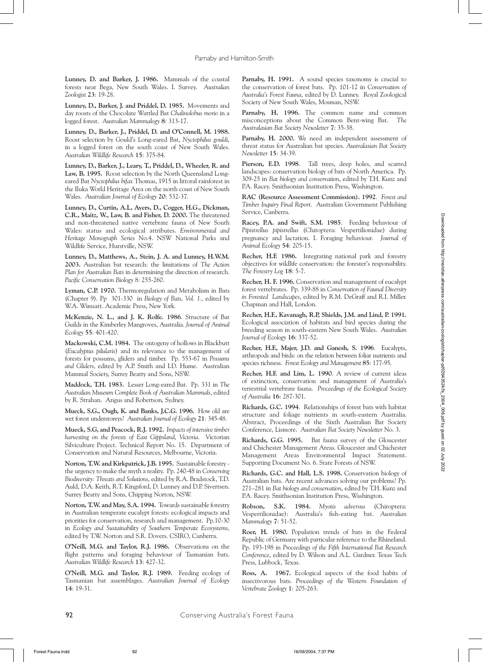**Lunney, D. and Barker, J. 1986.** Mammals of the coastal forests near Bega, New South Wales. I. Survey. *Australian Zoologist* **23**: 19-28.

**Lunney, D., Barker, J. and Priddel, D. 1985.** Movements and day roosts of the Chocolate Wattled Bat *Chalinolobus morio* in a logged forest. *Australian Mammalogy* **8**: 313-17.

**Lunney, D., Barker, J., Priddel, D. and O'Connell, M. 1988.** Roost selection by Gould's Long-eared Bat, *Nyctophilus gouldi*, in a logged forest on the south coast of New South Wales. *Australian Wildlife Research* **15**: 375-84.

**Lunney, D., Barker, J., Leary, T., Priddel, D., Wheeler, R. and**  Law, B. 1995. Roost selection by the North Queensland Longeared Bat *Nyctophilus bifax* Thomas, 1915 in littoral rainforest in the Iluka World Heritage Area on the north coast of New South Wales. *Australian Journal of Ecology* **20**: 532-37.

**Lunney, D., Curtin, A.L, Ayers, D., Cogger, H.G., Dickman, C.R., Maitz, W., Law, B. and Fisher, D. 2000.** The threatened and non-threatened native vertebrate fauna of New South Wales: status and ecological attributes. *Environmental and Heritage Monograph Series* No.4. NSW National Parks and Wildlife Service, Hurstville, NSW.

**Lunney, D., Matthews, A., Stein, J. A. and Lunney, H.W.M. 2003.** Australian bat research: the limitations of *The Action Plan for Australian Bats* in determining the direction of research. *Pacific Conservation Biology* 8: 255-260.

**Lyman, C.P. 1970.** Thermoregulation and Metabolism in Bats (Chapter 9). Pp 301-330 in *Biology of Bats, Vol. 1.,* edited by W.A. Wimsatt. Academic Press, New York*.*

**McKenzie, N. L., and J. K. Rolfe. 1986**. Structure of Bat Guilds in the Kimberley Mangroves, Australia. *Journal of Animal Ecology* **55**: 401-420.

**Mackowski, C.M. 1984.** The ontogeny of hollows in Blackbutt (*Eucalyptus pilularis*) and its relevance to the management of forests for possums, gliders and timber. Pp. 553-67 in *Possums and Gliders*, edited by A.P. Smith and I.D. Hume. Australian Mammal Society, Surrey Beatty and Sons, NSW.

**Maddock, T.H. 1983.** Lesser Long-eared Bat. Pp. 331 in *The Australian Museum Complete Book of Australian Mammals*, edited by R. Strahan. Angus and Robertson, Sydney.

**Mueck, S.G., Ough, K. and Banks, J.C.G. 1996.** How old are wet forest understoreys? *Australian Journal of Ecology* **21**: 345-48.

**Mueck, S.G, and Peacock, R.J. 1992.** *Impacts of intensive timber harvesting on the forests of East Gippsland, Victoria*. Victorian Silviculture Project. Technical Report No. 15. Department of Conservation and Natural Resources, Melbourne, Victoria.

**Norton, T.W. and Kirkpatrick, J.B. 1995.** Sustainable forestry the urgency to make the myth a reality. Pp. 240-48 in *Conserving Biodiversity: Threats and Solutions*, edited by R.A. Bradstock, T.D. Auld, D.A. Keith, R.T. Kingsford, D. Lunney and D.P. Sivertsen. Surrey Beatty and Sons, Chipping Norton, NSW.

**Norton, T.W. and May, S.A. 1994.** Towards sustainable forestry in Australian temperate eucalypt forests: ecological impacts and priorities for conservation, research and management. Pp.10-30 in *Ecology and Sustainability of Southern Temperate Ecosystems*, edited by T.W. Norton and S.R. Dovers. CSIRO, Canberra.

**O'Neill, M.G. and Taylor, R.J. 1986.** Observations on the flight patterns and foraging behaviour of Tasmanian bats. *Australian Wildlife Research* **13**: 427-32.

**O'Neill, M.G. and Taylor, R.J. 1989.** Feeding ecology of Tasmanian bat assemblages. *Australian Journal of Ecology* **14**: 19-31.

Parnaby, H. 1991. A sound species taxonomy is crucial to the conservation of forest bats. Pp. 101-12 in *Conservation of Australia's Forest Fauna*, edited by D. Lunney. Royal Zoological Society of New South Wales, Mosman, NSW.

**Parnaby, H. 1996.** The common name and common misconceptions about the Common Bent-wing Bat. *The Australasian Bat Society Newsletter* **7**: 35-38.

Parnaby, H. 2000. We need an independent assessment of threat status for Australian bat species. *Australasian Bat Society Newsletter* **15**: 34-39.

**Pierson, E.D. 1998**. Tall trees, deep holes, and scarred landscapes: conservation biology of bats of North America. Pp. 309-25 in *Bat biology and conservation*, edited by T.H. Kunz and P.A. Racey. Smithsonian Institution Press, Washington.

**RAC (Resource Assessment Commission). 1992**. *Forest and Timber Inquiry Final Report*. Australian Government Publishing Service, Canberra.

**Racey, P.A. and Swift, S.M. 1985**. Feeding behaviour of *Pipistrellus pipistrellus* (Chiroptera: Vespertilionidae) during pregnancy and lactation. I. Foraging behaviour*. Journal of Animal Ecology* **54**: 205-15.

**Recher, H.F. 1986.** Integrating national park and forestry objectives for wildlife conservation: the forester's responsibility. *The Forestry Log* **18**: 5-7.

**Recher, H. F. 1996.** Conservation and management of eucalypt forest vertebrates. Pp. 339-88 in *Conservation of Faunal Diversity in Forested Landscapes*, edited by R.M. DeGraff and R.I. Miller. Chapman and Hall, London.

**Recher, H.F., Kavanagh, R.P, Shields, J.M. and Lind, P. 1991.** Ecological association of habitats and bird species during the breeding season in south-eastern New South Wales. *Australian Journal of Ecology* **16**: 337-52.

**Recher, H.F., Majer, J.D. and Ganesh, S. 1996**. Eucalypts, arthropods and birds: on the relation between foliar nutrients and species richness. *Forest Ecology and Management* **85**: 177-95.

**Recher, H.F. and Lim, L. 1990**. A review of current ideas of extinction, conservation and management of Australia's terrestrial vertebrate fauna. *Proceedings of the Ecological Society of Australia* **16**: 287-301.

**Richards, G.C. 1994**. Relationships of forest bats with habitat structure and foliage nutrients in south-eastern Australia. Abstract, Proceedings of the Sixth Australian Bat Society Conference, Lismore. *Australian Bat Society Newsletter* No. 3.

**Richards, G.G. 1995.** Bat fauna survey of the Gloucester and Chichester Management Areas. Gloucester and Chichester Management Areas Environmental Impact Statement. Supporting Document No. 6. State Forests of NSW.

**Richards, G.C. and Hall, L.S. 1998.** Conservation biology of Australian bats. Are recent advances solving our problems? Pp. 271–281 in *Bat biology and conservation*, edited by T.H. Kunz and P.A. Racey. Smithsonian Institution Press, Washington.

**Robson, S.K. 1984.** *Myotis adversus* (Chiroptera: Vespertilionidae): Australia's fish-eating bat. *Australian Mammalogy* **7**: 51-52.

**Roer, H. 1980.** Population trends of bats in the Federal Republic of Germany with particular reference to the Rhineland. Pp. 193-198 in *Proceedings of the Fifth International Bat Research Conference*, edited by D. Wilson and A.L. Gardner. Texas Tech Press, Lubbock, Texas.

**Ross, A. 1967.** Ecological aspects of the food habits of insectivorous bats. *Proceedings of the Western Foundation of Vertebrate Zoology* **1**: 205-263.